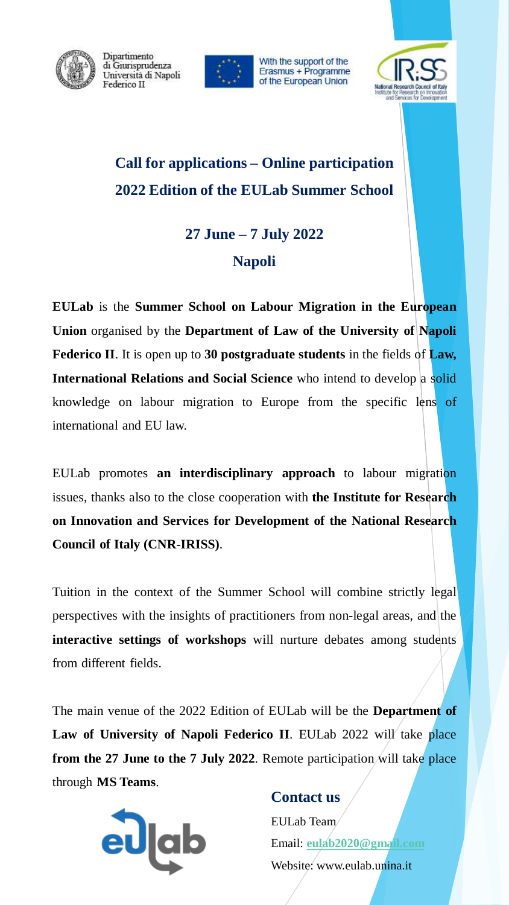

Dipartimento di Giurisprudenza Università di Napoli Federico II



With the support of the Erasmus + Programme of the European Union



# **Call for applications – Online participation 2022 Edition of the EULab Summer School**

# **27 June – 7 July 2022 Napoli**

**EULab** is the **Summer School on Labour Migration in the European Union** organised by the **Department of Law of the University of Napoli Federico II**. It is open up to **30 postgraduate students** in the fields of **Law, International Relations and Social Science** who intend to develop a solid knowledge on labour migration to Europe from the specific lens of international and EU law.

EULab promotes **an interdisciplinary approach** to labour migration issues, thanks also to the close cooperation with **the Institute for Research on Innovation and Services for Development of the National Research Council of Italy (CNR-IRISS)**.

Tuition in the context of the Summer School will combine strictly legal perspectives with the insights of practitioners from non-legal areas, and the **interactive settings of workshops** will nurture debates among students from different fields.

The main venue of the 2022 Edition of EULab will be the **Department of Law of University of Napoli Federico II**. EULab 2022 will take place **from the 27 June to the 7 July 2022**. Remote participation will take place through **MS Teams**.



# **Contact us**

EULab Team Email: **[eulab2020@gmail.com](mailto:eulab2020@gmail.com)** Website: www.eulab.unina.it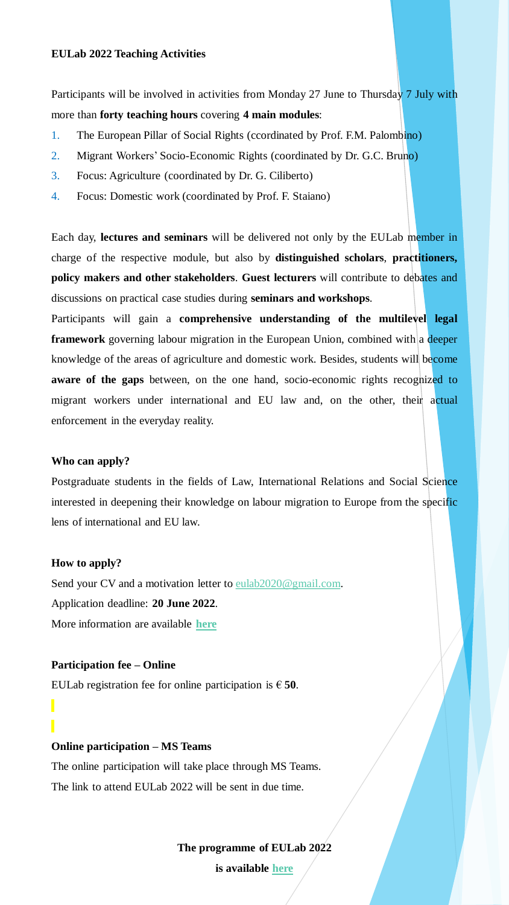#### **EULab 2022 Teaching Activities**

Participants will be involved in activities from Monday 27 June to Thursday 7 July with more than **forty teaching hours** covering **4 main modules**:

- 1. The European Pillar of Social Rights (ccordinated by Prof. F.M. Palombino)
- 2. Migrant Workers' Socio-Economic Rights (coordinated by Dr. G.C. Bruno)
- 3. Focus: Agriculture (coordinated by Dr. G. Ciliberto)
- 4. Focus: Domestic work (coordinated by Prof. F. Staiano)

Each day, **lectures and seminars** will be delivered not only by the EULab member in charge of the respective module, but also by **distinguished scholars**, **practitioners, policy makers and other stakeholders**. **Guest lecturers** will contribute to debates and discussions on practical case studies during **seminars and workshops**.

Participants will gain a **comprehensive understanding of the multilevel legal framework** governing labour migration in the European Union, combined with a deeper knowledge of the areas of agriculture and domestic work. Besides, students will become **aware of the gaps** between, on the one hand, socio-economic rights recognized to migrant workers under international and EU law and, on the other, their actual enforcement in the everyday reality.

#### **Who can apply?**

Postgraduate students in the fields of Law, International Relations and Social Science interested in deepening their knowledge on labour migration to Europe from the specific lens of international and EU law.

#### **How to apply?**

Send your CV and a motivation letter to [eulab2020@gmail.com.](mailto:eulab2020@gmail.com) Application deadline: **20 June 2022**. More information are available **[here](http://www.eulab.unina.it/how-to-apply/)**

#### **Participation fee – Online**

EULab registration fee for online participation is  $\in$  50.

#### **Online participation – MS Teams**

The online participation will take place through MS Teams. The link to attend EULab 2022 will be sent in due time.

**The programme of EULab 2022**

**is available [here](http://www.eulab.unina.it/summer-school-2022/)**